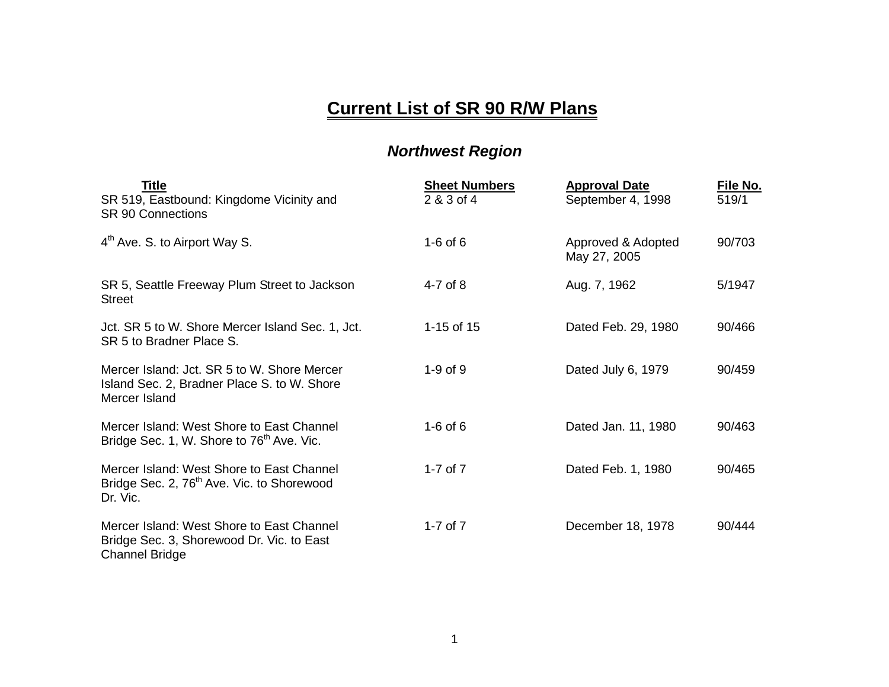## **Current List of SR 90 R/W Plans**

## *Northwest Region*

| <b>Title</b><br>SR 519, Eastbound: Kingdome Vicinity and<br><b>SR 90 Connections</b>                            | <b>Sheet Numbers</b><br>2 & 3 of 4 | <b>Approval Date</b><br>September 4, 1998 | File No.<br>519/1 |
|-----------------------------------------------------------------------------------------------------------------|------------------------------------|-------------------------------------------|-------------------|
| 4 <sup>th</sup> Ave. S. to Airport Way S.                                                                       | $1-6$ of 6                         | Approved & Adopted<br>May 27, 2005        | 90/703            |
| SR 5, Seattle Freeway Plum Street to Jackson<br><b>Street</b>                                                   | $4-7$ of 8                         | Aug. 7, 1962                              | 5/1947            |
| Jct. SR 5 to W. Shore Mercer Island Sec. 1, Jct.<br>SR 5 to Bradner Place S.                                    | 1-15 of $15$                       | Dated Feb. 29, 1980                       | 90/466            |
| Mercer Island: Jct. SR 5 to W. Shore Mercer<br>Island Sec. 2, Bradner Place S. to W. Shore<br>Mercer Island     | $1-9$ of $9$                       | Dated July 6, 1979                        | 90/459            |
| Mercer Island: West Shore to East Channel<br>Bridge Sec. 1, W. Shore to 76 <sup>th</sup> Ave. Vic.              | $1-6$ of $6$                       | Dated Jan. 11, 1980                       | 90/463            |
| Mercer Island: West Shore to East Channel<br>Bridge Sec. 2, 76 <sup>th</sup> Ave. Vic. to Shorewood<br>Dr. Vic. | 1-7 of $7$                         | Dated Feb. 1, 1980                        | 90/465            |
| Mercer Island: West Shore to East Channel<br>Bridge Sec. 3, Shorewood Dr. Vic. to East<br><b>Channel Bridge</b> | 1-7 of $7$                         | December 18, 1978                         | 90/444            |